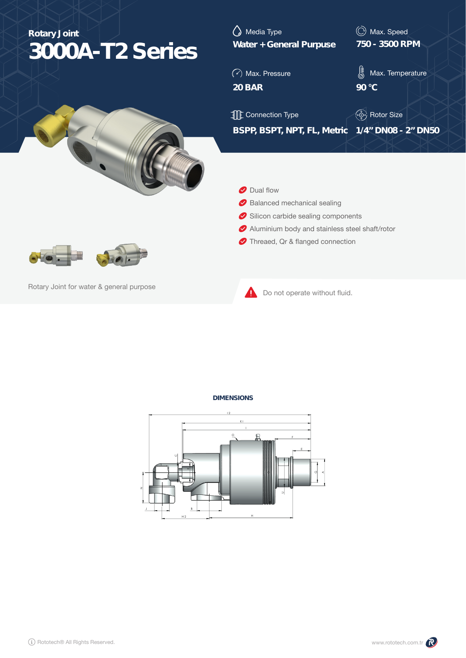| <b>Rotary Joint</b><br>3000A-T2 Series   | Media Type<br><b>Water + General Purpuse</b>    | C Max. Speed<br>750 - 3500 RPM |  |  |  |  |  |
|------------------------------------------|-------------------------------------------------|--------------------------------|--|--|--|--|--|
|                                          | $\odot$ Max. Pressure                           | ∦<br>Max. Temperature          |  |  |  |  |  |
|                                          | <b>20 BAR</b>                                   | 90 °C                          |  |  |  |  |  |
|                                          | <b>TE</b> Connection Type                       | (. ) Rotor Size                |  |  |  |  |  |
|                                          | BSPP, BSPT, NPT, FL, Metric 1/4" DN08 - 2" DN50 |                                |  |  |  |  |  |
|                                          | Dual flow<br>Ø<br>Balanced mechanical sealing   |                                |  |  |  |  |  |
|                                          | Silicon carbide sealing components              |                                |  |  |  |  |  |
|                                          | Aluminium body and stainless steel shaft/rotor  |                                |  |  |  |  |  |
|                                          | Threaed, Qr & flanged connection                |                                |  |  |  |  |  |
| Rotary Joint for water & general purpose | Do not operate without fluid.                   |                                |  |  |  |  |  |

## **DIMENSIONS**

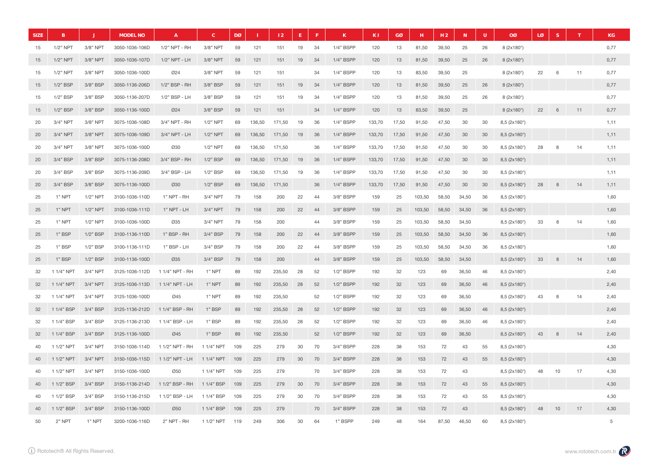| <b>SIZE</b> | B           |             | <b>MODEL NO</b> | $\overline{A}$  | $\mathbf{C}$ | DØ  |        | 12     | E  |    | К         | K1     | GØ    | н      | H <sub>2</sub> | ${\bf N}$ | $\mathsf{U}$ | <b>OØ</b>                 | LØ | S. | T  | <b>KG</b> |
|-------------|-------------|-------------|-----------------|-----------------|--------------|-----|--------|--------|----|----|-----------|--------|-------|--------|----------------|-----------|--------------|---------------------------|----|----|----|-----------|
| 15          | $1/2"$ NPT  | 3/8" NPT    | 3050-1036-106D  | 1/2" NPT - RH   | 3/8" NPT     | 59  | 121    | 151    | 19 | 34 | 1/4" BSPP | 120    | 13    | 81,50  | 39,50          | 25        | 26           | 8 (2x180°)                |    |    |    | 0,77      |
| 15          | $1/2"$ NPT  | 3/8" NPT    | 3050-1036-107D  | 1/2" NPT - LH   | 3/8" NPT     | 59  | 121    | 151    | 19 | 34 | 1/4" BSPP | 120    | 13    | 81,50  | 39,50          | 25        | 26           | 8 (2x180°)                |    |    |    | 0,77      |
| 15          | $1/2"$ NPT  | 3/8" NPT    | 3050-1036-100D  | 024             | 3/8" NPT     | 59  | 121    | 151    |    | 34 | 1/4" BSPP | 120    | 13    | 83,50  | 39,50          | 25        |              | 8 (2x180°)                | 22 | 6  | 11 | 0,77      |
| 15          | $1/2$ " BSP | 3/8" BSP    | 3050-1136-206D  | 1/2" BSP - RH   | 3/8" BSP     | 59  | 121    | 151    | 19 | 34 | 1/4" BSPP | 120    | 13    | 81,50  | 39,50          | 25        | 26           | 8 (2x180°)                |    |    |    | 0,77      |
| 15          | 1/2" BSP    | 3/8" BSP    | 3050-1136-207D  | 1/2" BSP - LH   | 3/8" BSP     | 59  | 121    | 151    | 19 | 34 | 1/4" BSPP | 120    | 13    | 81,50  | 39,50          | 25        | 26           | 8 (2x180°)                |    |    |    | 0,77      |
| 15          | 1/2" BSP    | 3/8" BSP    | 3050-1136-100D  | <b>Ø24</b>      | 3/8" BSP     | 59  | 121    | 151    |    | 34 | 1/4" BSPP | 120    | 13    | 83,50  | 39,50          | 25        |              | 8 (2x180°)                | 22 | 6  | 11 | 0,77      |
| 20          | 3/4" NPT    | 3/8" NPT    | 3075-1036-108D  | 3/4" NPT - RH   | 1/2" NPT     | 69  | 136,50 | 171,50 | 19 | 36 | 1/4" BSPP | 133,70 | 17,50 | 91,50  | 47,50          | 30        | 30           | 8,5 (2x180°)              |    |    |    | 1,11      |
| 20          | 3/4" NPT    | 3/8" NPT    | 3075-1036-109D  | 3/4" NPT - LH   | $1/2$ " NPT  | 69  | 136,50 | 171,50 | 19 | 36 | 1/4" BSPP | 133,70 | 17,50 | 91,50  | 47,50          | 30        | 30           | 8,5 (2x180°)              |    |    |    | 1,11      |
| 20          | $3/4"$ NPT  | $3/8"$ NPT  | 3075-1036-100D  | Ø30             | $1/2$ " NPT  | 69  | 136,50 | 171.50 |    | 36 | 1/4" BSPP | 133.70 | 17,50 | 91.50  | 47,50          | 30        | 30           | 8,5 (2x180°)              | 28 | -8 | 14 | 1,11      |
| 20          | 3/4" BSP    | 3/8" BSP    | 3075-1136-208D  | 3/4" BSP - RH   | 1/2" BSP     | 69  | 136,50 | 171,50 | 19 | 36 | 1/4" BSPP | 133,70 | 17,50 | 91,50  | 47,50          | 30        | 30           | 8,5 (2x180°)              |    |    |    | 1,11      |
| 20          | 3/4" BSP    | 3/8" BSP    | 3075-1136-209D  | 3/4" BSP - LH   | 1/2" BSP     | 69  | 136,50 | 171,50 | 19 | 36 | 1/4" BSPP | 133,70 | 17,50 | 91,50  | 47,50          | 30        | 30           | 8,5 (2x180°)              |    |    |    | 1,11      |
| 20          | 3/4" BSP    | 3/8" BSP    | 3075-1136-100D  | <b>Ø30</b>      | $1/2$ " BSP  | 69  | 136,50 | 171,50 |    | 36 | 1/4" BSPP | 133,70 | 17,50 | 91,50  | 47,50          | 30        | 30           | 8,5(2x180°)               | 28 | 8  | 14 | 1,11      |
| 25          | 1" NPT      | $1/2"$ NPT  | 3100-1036-110D  | 1" NPT - RH     | 3/4" NPT     | 79  | 158    | 200    | 22 | 44 | 3/8" BSPP | 159    | 25    | 103,50 | 58,50          | 34,50     | 36           | $8,5(2\times180^\circ)$   |    |    |    | 1,60      |
| 25          | 1" NPT      | $1/2"$ NPT  | 3100-1036-111D  | 1" NPT - LH     | 3/4" NPT     | 79  | 158    | 200    | 22 | 44 | 3/8" BSPP | 159    | 25    | 103,50 | 58,50          | 34,50     | 36           | 8,5 (2x180°)              |    |    |    | 1,60      |
| 25          | 1" NPT      | $1/2"$ NPT  | 3100-1036-100D  | 035             | 3/4" NPT     | 79  | 158    | 200    |    | 44 | 3/8" BSPP | 159    | 25    | 103,50 | 58,50          | 34,50     |              | 8,5 (2x180°)              | 33 | 8  | 14 | 1,60      |
| 25          | 1" BSP      | 1/2" BSP    | 3100-1136-110D  | 1" BSP - RH     | 3/4" BSP     | 79  | 158    | 200    | 22 | 44 | 3/8" BSPP | 159    | 25    | 103,50 | 58,50          | 34,50     | 36           | 8,5(2x180°)               |    |    |    | 1,60      |
| 25          | 1" BSP      | 1/2" BSP    | 3100-1136-111D  | 1" BSP - LH     | 3/4" BSP     | 79  | 158    | 200    | 22 | 44 | 3/8" BSPP | 159    | 25    | 103,50 | 58,50          | 34,50     | 36           | 8,5 (2x180°)              |    |    |    | 1,60      |
| 25          | 1" BSP      | $1/2$ " BSP | 3100-1136-100D  | Ø35             | 3/4" BSP     | 79  | 158    | 200    |    | 44 | 3/8" BSPP | 159    | 25    | 103,50 | 58,50          | 34,50     |              | 8,5 (2x180°)              | 33 | 8  | 14 | 1,60      |
| 32          | 1 1/4" NPT  | 3/4" NPT    | 3125-1036-112D  | 1 1/4" NPT - RH | 1" NPT       | 89  | 192    | 235,50 | 28 | 52 | 1/2" BSPP | 192    | 32    | 123    | 69             | 36,50     | 46           | 8,5 (2x180°)              |    |    |    | 2,40      |
| 32          | 1 1/4" NPT  | 3/4" NPT    | 3125-1036-113D  | 1 1/4" NPT - LH | 1" NPT       | 89  | 192    | 235,50 | 28 | 52 | 1/2" BSPP | 192    | 32    | 123    | 69             | 36,50     | 46           | 8,5 (2x180°)              |    |    |    | 2,40      |
| 32          | 1 1/4" NPT  | 3/4" NPT    | 3125-1036-100D  | Ø45             | 1" NPT       | 89  | 192    | 235,50 |    | 52 | 1/2" BSPP | 192    | 32    | 123    | 69             | 36,50     |              | 8,5 (2x180°)              | 43 | 8  | 14 | 2,40      |
| 32          | 1 1/4" BSP  | 3/4" BSP    | 3125-1136-212D  | 1 1/4" BSP - RH | 1" BSP       | 89  | 192    | 235,50 | 28 | 52 | 1/2" BSPP | 192    | 32    | 123    | 69             | 36,50     | 46           | 8,5(2x180°)               |    |    |    | 2.40      |
| 32          | 1 1/4" BSP  | 3/4" BSP    | 3125-1136-213D  | 1 1/4" BSP - LH | 1" BSP       | 89  | 192    | 235,50 | 28 | 52 | 1/2" BSPP | 192    | 32    | 123    | 69             | 36,50     | 46           | 8,5 (2x180°)              |    |    |    | 2,40      |
| 32          | 1 1/4" BSP  | 3/4" BSP    | 3125-1136-100D  | Ø45             | 1" BSP       | 89  | 192    | 235,50 |    | 52 | 1/2" BSPP | 192    | 32    | 123    | 69             | 36,50     |              | $8,5$ (2x180 $^{\circ}$ ) | 43 | 8  | 14 | 2,40      |
| 40          | 1 1/2" NPT  | $3/4"$ NPT  | 3150-1036-114D  | 1 1/2" NPT - RH | 1 1/4" NPT   | 109 | 225    | 279    | 30 | 70 | 3/4" BSPP | 228    | 38    | 153    | 72             | 43        | 55           | 8,5 (2x180°)              |    |    |    | 4,30      |
| 40          | 1 1/2" NPT  | 3/4" NPT    | 3150-1036-115D  | 1 1/2" NPT - LH | 1 1/4" NPT   | 109 | 225    | 279    | 30 | 70 | 3/4" BSPP | 228    | 38    | 153    | 72             | 43        | 55           | 8,5 (2x180°)              |    |    |    | 4,30      |
| 40          | 1 1/2" NPT  | 3/4" NPT    | 3150-1036-100D  | 050             | 1 1/4" NPT   | 109 | 225    | 279    |    | 70 | 3/4" BSPP | 228    | 38    | 153    | 72             | 43        |              | 8,5 (2x180°)              | 48 | 10 | 17 | 4,30      |
| 40          | 1 1/2" BSP  | 3/4" BSP    | 3150-1136-214D  | 1 1/2" BSP - RH | 1 1/4" BSP   | 109 | 225    | 279    | 30 | 70 | 3/4" BSPP | 228    | 38    | 153    | 72             | 43        | 55           | 8,5 (2x180°)              |    |    |    | 4,30      |
| 40          | 1 1/2" BSP  | 3/4" BSP    | 3150-1136-215D  | 1 1/2" BSP - LH | 11/4" BSP    | 109 | 225    | 279    | 30 | 70 | 3/4" BSPP | 228    | 38    | 153    | 72             | 43        | 55           | 8,5 (2x180°)              |    |    |    | 4,30      |
| 40          | 1 1/2" BSP  | 3/4" BSP    | 3150-1136-100D  | 050             | 1 1/4" BSP   | 109 | 225    | 279    |    | 70 | 3/4" BSPP | 228    | 38    | 153    | 72             | 43        |              | 8,5 (2x180°)              | 48 | 10 | 17 | 4,30      |
| 50          | $2"$ NPT    | $1"$ NPT    | 3200-1036-116D  | 2" NPT - RH     | 1 1/2" NPT   | 119 | 249    | 306    | 30 | 64 | 1" BSPP   | 249    | 48    | 164    | 87,50          | 46,50     | 60           | 8,5 (2x180°)              |    |    |    | 5         |